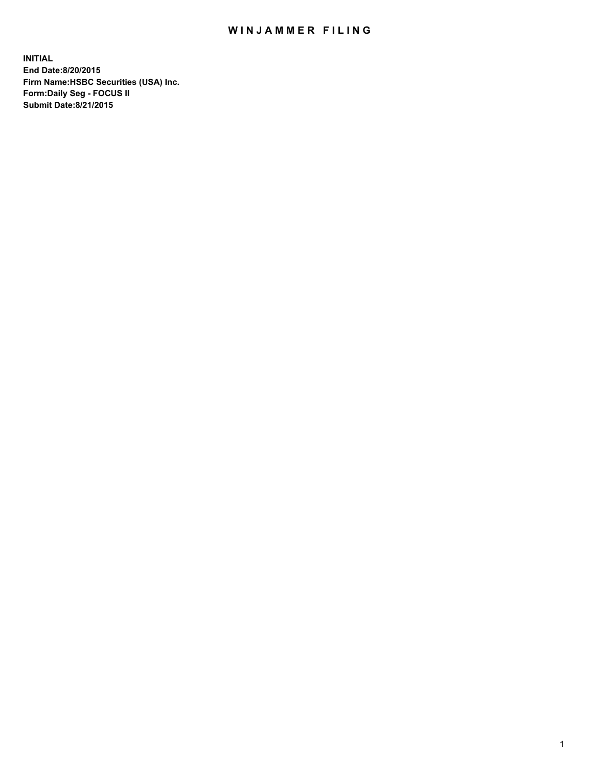## WIN JAMMER FILING

**INITIAL End Date:8/20/2015 Firm Name:HSBC Securities (USA) Inc. Form:Daily Seg - FOCUS II Submit Date:8/21/2015**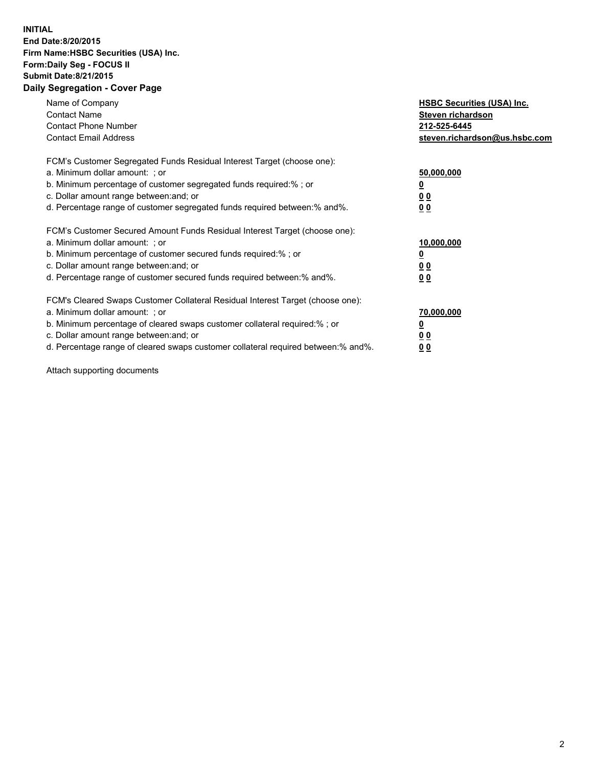## **INITIAL End Date:8/20/2015 Firm Name:HSBC Securities (USA) Inc. Form:Daily Seg - FOCUS II Submit Date:8/21/2015 Daily Segregation - Cover Page**

| Name of Company<br><b>Contact Name</b><br><b>Contact Phone Number</b><br><b>Contact Email Address</b>                                                                                                                                                                                                                          | <b>HSBC Securities (USA) Inc.</b><br>Steven richardson<br>212-525-6445<br>steven.richardson@us.hsbc.com |
|--------------------------------------------------------------------------------------------------------------------------------------------------------------------------------------------------------------------------------------------------------------------------------------------------------------------------------|---------------------------------------------------------------------------------------------------------|
| FCM's Customer Segregated Funds Residual Interest Target (choose one):<br>a. Minimum dollar amount: ; or<br>b. Minimum percentage of customer segregated funds required:%; or<br>c. Dollar amount range between: and; or<br>d. Percentage range of customer segregated funds required between: % and %.                        | 50,000,000<br>0 <sub>0</sub><br>0 <sub>0</sub>                                                          |
| FCM's Customer Secured Amount Funds Residual Interest Target (choose one):<br>a. Minimum dollar amount: ; or<br>b. Minimum percentage of customer secured funds required:%; or<br>c. Dollar amount range between: and; or<br>d. Percentage range of customer secured funds required between:% and%.                            | 10,000,000<br><u>0</u><br>0 <sub>0</sub><br>0 <sub>0</sub>                                              |
| FCM's Cleared Swaps Customer Collateral Residual Interest Target (choose one):<br>a. Minimum dollar amount: ; or<br>b. Minimum percentage of cleared swaps customer collateral required:% ; or<br>c. Dollar amount range between: and; or<br>d. Percentage range of cleared swaps customer collateral required between:% and%. | 70,000,000<br>00<br><u>00</u>                                                                           |

Attach supporting documents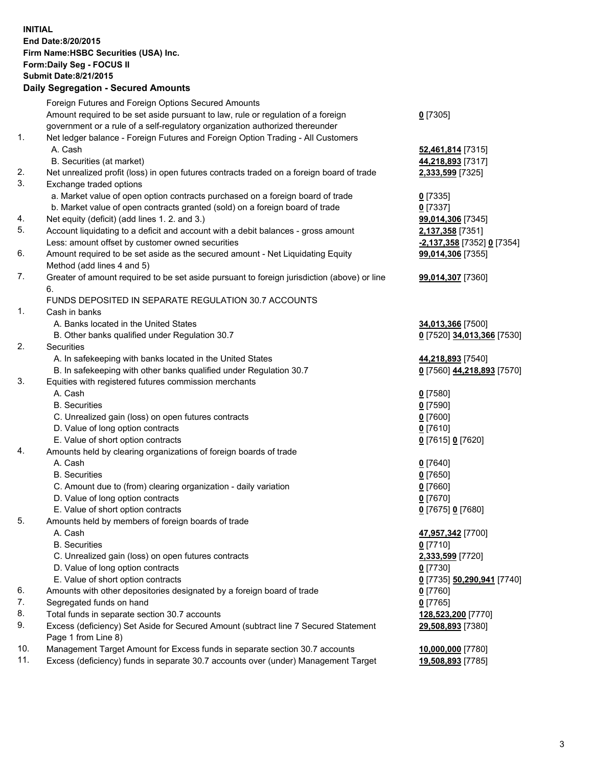**INITIAL End Date:8/20/2015 Firm Name:HSBC Securities (USA) Inc. Form:Daily Seg - FOCUS II Submit Date:8/21/2015 Daily Segregation - Secured Amounts** Foreign Futures and Foreign Options Secured Amounts

|     | Foreign Futures and Foreign Options Secured Amounts                                         |                            |  |
|-----|---------------------------------------------------------------------------------------------|----------------------------|--|
|     | Amount required to be set aside pursuant to law, rule or regulation of a foreign            | $Q$ [7305]                 |  |
|     | government or a rule of a self-regulatory organization authorized thereunder                |                            |  |
| 1.  | Net ledger balance - Foreign Futures and Foreign Option Trading - All Customers             |                            |  |
|     | A. Cash                                                                                     | 52,461,814 [7315]          |  |
|     | B. Securities (at market)                                                                   | 44,218,893 [7317]          |  |
| 2.  | Net unrealized profit (loss) in open futures contracts traded on a foreign board of trade   | 2,333,599 [7325]           |  |
| 3.  | Exchange traded options                                                                     |                            |  |
|     | a. Market value of open option contracts purchased on a foreign board of trade              | $0$ [7335]                 |  |
|     | b. Market value of open contracts granted (sold) on a foreign board of trade                | $0$ [7337]                 |  |
| 4.  | Net equity (deficit) (add lines 1.2. and 3.)                                                | 99,014,306 [7345]          |  |
| 5.  | Account liquidating to a deficit and account with a debit balances - gross amount           | 2,137,358 [7351]           |  |
|     | Less: amount offset by customer owned securities                                            | -2,137,358 [7352] 0 [7354] |  |
| 6.  | Amount required to be set aside as the secured amount - Net Liquidating Equity              | 99,014,306 [7355]          |  |
|     | Method (add lines 4 and 5)                                                                  |                            |  |
| 7.  | Greater of amount required to be set aside pursuant to foreign jurisdiction (above) or line | 99,014,307 [7360]          |  |
|     | 6.                                                                                          |                            |  |
|     | FUNDS DEPOSITED IN SEPARATE REGULATION 30.7 ACCOUNTS                                        |                            |  |
| 1.  | Cash in banks                                                                               |                            |  |
|     | A. Banks located in the United States                                                       | 34,013,366 [7500]          |  |
|     | B. Other banks qualified under Regulation 30.7                                              | 0 [7520] 34,013,366 [7530] |  |
| 2.  | <b>Securities</b>                                                                           |                            |  |
|     | A. In safekeeping with banks located in the United States                                   | 44,218,893 [7540]          |  |
|     | B. In safekeeping with other banks qualified under Regulation 30.7                          | 0 [7560] 44,218,893 [7570] |  |
| 3.  | Equities with registered futures commission merchants                                       |                            |  |
|     | A. Cash                                                                                     | $0$ [7580]                 |  |
|     | <b>B.</b> Securities                                                                        | $0$ [7590]                 |  |
|     | C. Unrealized gain (loss) on open futures contracts                                         | $0$ [7600]                 |  |
|     | D. Value of long option contracts                                                           | $0$ [7610]                 |  |
|     | E. Value of short option contracts                                                          | 0 [7615] 0 [7620]          |  |
| 4.  | Amounts held by clearing organizations of foreign boards of trade                           |                            |  |
|     | A. Cash                                                                                     | $0$ [7640]                 |  |
|     | <b>B.</b> Securities                                                                        | $0$ [7650]                 |  |
|     | C. Amount due to (from) clearing organization - daily variation                             | $0$ [7660]                 |  |
|     | D. Value of long option contracts                                                           | $0$ [7670]                 |  |
|     | E. Value of short option contracts                                                          | 0 [7675] 0 [7680]          |  |
| 5.  | Amounts held by members of foreign boards of trade                                          |                            |  |
|     | A. Cash                                                                                     | 47,957,342 [7700]          |  |
|     | <b>B.</b> Securities                                                                        | $0$ [7710]                 |  |
|     | C. Unrealized gain (loss) on open futures contracts                                         | 2,333,599 [7720]           |  |
|     | D. Value of long option contracts                                                           | $0$ [7730]                 |  |
|     | E. Value of short option contracts                                                          | 0 [7735] 50,290,941 [7740] |  |
| 6.  | Amounts with other depositories designated by a foreign board of trade                      | <u>0</u> [7760]            |  |
| 7.  | Segregated funds on hand                                                                    | $0$ [7765]                 |  |
| 8.  | Total funds in separate section 30.7 accounts                                               | 128,523,200 [7770]         |  |
| 9.  | Excess (deficiency) Set Aside for Secured Amount (subtract line 7 Secured Statement         | 29,508,893 [7380]          |  |
|     | Page 1 from Line 8)                                                                         |                            |  |
| 10. | Management Target Amount for Excess funds in separate section 30.7 accounts                 | 10,000,000 [7780]          |  |
| 11. | Excess (deficiency) funds in separate 30.7 accounts over (under) Management Target          | 19,508,893 [7785]          |  |
|     |                                                                                             |                            |  |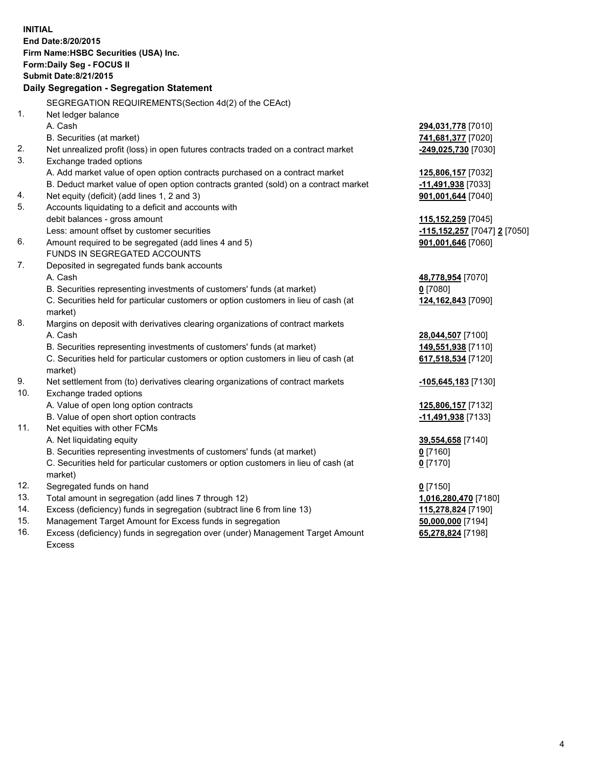| <b>INITIAL</b> | End Date:8/20/2015<br>Firm Name: HSBC Securities (USA) Inc.<br>Form: Daily Seg - FOCUS II<br><b>Submit Date:8/21/2015</b><br>Daily Segregation - Segregation Statement |                                |
|----------------|------------------------------------------------------------------------------------------------------------------------------------------------------------------------|--------------------------------|
|                | SEGREGATION REQUIREMENTS(Section 4d(2) of the CEAct)                                                                                                                   |                                |
| 1.             | Net ledger balance                                                                                                                                                     |                                |
|                | A. Cash                                                                                                                                                                | 294,031,778 [7010]             |
|                | B. Securities (at market)                                                                                                                                              | 741,681,377 [7020]             |
| 2.             | Net unrealized profit (loss) in open futures contracts traded on a contract market                                                                                     | -249,025,730 [7030]            |
| 3.             | Exchange traded options                                                                                                                                                |                                |
|                | A. Add market value of open option contracts purchased on a contract market                                                                                            | 125,806,157 [7032]             |
|                | B. Deduct market value of open option contracts granted (sold) on a contract market                                                                                    | 11,491,938 [7033]              |
| 4.             | Net equity (deficit) (add lines 1, 2 and 3)                                                                                                                            | 901,001,644 [7040]             |
| 5.             | Accounts liquidating to a deficit and accounts with                                                                                                                    |                                |
|                | debit balances - gross amount                                                                                                                                          | 115,152,259 [7045]             |
|                | Less: amount offset by customer securities                                                                                                                             | -115,152,257 [7047] 2 [7050]   |
| 6.             | Amount required to be segregated (add lines 4 and 5)                                                                                                                   | 901,001,646 [7060]             |
|                | FUNDS IN SEGREGATED ACCOUNTS                                                                                                                                           |                                |
| 7.             | Deposited in segregated funds bank accounts                                                                                                                            |                                |
|                | A. Cash                                                                                                                                                                | 48,778,954 [7070]              |
|                | B. Securities representing investments of customers' funds (at market)                                                                                                 | $0$ [7080]                     |
|                | C. Securities held for particular customers or option customers in lieu of cash (at<br>market)                                                                         | 124,162,843 [7090]             |
| 8.             | Margins on deposit with derivatives clearing organizations of contract markets                                                                                         |                                |
|                | A. Cash                                                                                                                                                                | 28,044,507 [7100]              |
|                | B. Securities representing investments of customers' funds (at market)                                                                                                 | 149,551,938 [7110]             |
|                | C. Securities held for particular customers or option customers in lieu of cash (at<br>market)                                                                         | 617,518,534 [7120]             |
| 9.             | Net settlement from (to) derivatives clearing organizations of contract markets                                                                                        | -105,645,183 <sup>[7130]</sup> |
| 10.            | Exchange traded options                                                                                                                                                |                                |
|                | A. Value of open long option contracts                                                                                                                                 | 125,806,157 [7132]             |
|                | B. Value of open short option contracts                                                                                                                                | -11,491,938 [7133]             |
| 11.            | Net equities with other FCMs                                                                                                                                           |                                |
|                | A. Net liquidating equity                                                                                                                                              | 39,554,658 [7140]              |
|                | B. Securities representing investments of customers' funds (at market)                                                                                                 | $\underline{0}$ [7160]         |
|                | C. Securities held for particular customers or option customers in lieu of cash (at<br>market)                                                                         | $0$ [7170]                     |
| 12.            | Segregated funds on hand                                                                                                                                               | $0$ [7150]                     |
| 13.            | Total amount in segregation (add lines 7 through 12)                                                                                                                   | 1,016,280,470 [7180]           |
| 14.            | Excess (deficiency) funds in segregation (subtract line 6 from line 13)                                                                                                | 115,278,824 [7190]             |
| 15.            | Management Target Amount for Excess funds in segregation                                                                                                               | 50,000,000 [7194]              |

16. Excess (deficiency) funds in segregation over (under) Management Target Amount Excess

**65,278,824** [7198]